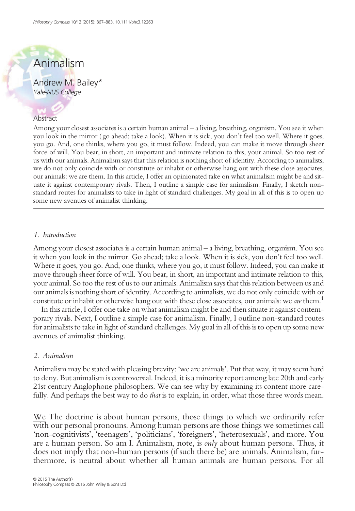

Andrew M. Bailey\* Yale-NUS College

#### Abstract

Among your closest associates is a certain human animal – a living, breathing, organism. You see it when you look in the mirror ( go ahead; take a look). When it is sick, you don't feel too well. Where it goes, you go. And, one thinks, where you go, it must follow. Indeed, you can make it move through sheer force of will. You bear, in short, an important and intimate relation to this, your animal. So too rest of us with our animals. Animalism says that this relation is nothing short of identity. According to animalists, we do not only coincide with or constitute or inhabit or otherwise hang out with these close associates, our animals: we are them. In this article, I offer an opinionated take on what animalism might be and situate it against contemporary rivals. Then, I outline a simple case for animalism. Finally, I sketch nonstandard routes for animalists to take in light of standard challenges. My goal in all of this is to open up some new avenues of animalist thinking.

#### 1. Introduction

Among your closest associates is a certain human animal – a living, breathing, organism. You see it when you look in the mirror. Go ahead; take a look. When it is sick, you don't feel too well. Where it goes, you go. And, one thinks, where you go, it must follow. Indeed, you can make it move through sheer force of will. You bear, in short, an important and intimate relation to this, your animal. So too the rest of us to our animals. Animalism says that this relation between us and our animals is nothing short of identity. According to animalists, we do not only coincide with or constitute or inhabit or otherwise hang out with these close associates, our animals: we are them.<sup>1</sup>

In this article, I offer one take on what animalism might be and then situate it against contemporary rivals. Next, I outline a simple case for animalism. Finally, I outline non-standard routes for animalists to take in light of standard challenges. My goal in all of this is to open up some new avenues of animalist thinking.

#### 2. Animalism

Animalism may be stated with pleasing brevity: 'we are animals'. Put that way, it may seem hard to deny. But animalism is controversial. Indeed, it is a minority report among late 20th and early 21st century Anglophone philosophers. We can see why by examining its content more carefully. And perhaps the best way to do *that* is to explain, in order, what those three words mean.

We The doctrine is about human persons, those things to which we ordinarily refer with our personal pronouns. Among human persons are those things we sometimes call 'non-cognitivists', 'teenagers', 'politicians', 'foreigners', 'heterosexuals', and more. You are a human person. So am I. Animalism, note, is only about human persons. Thus, it does not imply that non-human persons (if such there be) are animals. Animalism, furthermore, is neutral about whether all human animals are human persons. For all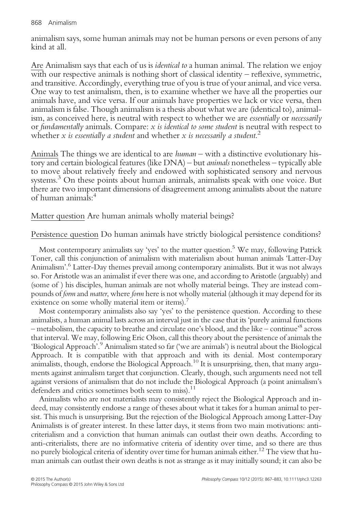animalism says, some human animals may not be human persons or even persons of any kind at all.

Are Animalism says that each of us is *identical to* a human animal. The relation we enjoy with our respective animals is nothing short of classical identity – reflexive, symmetric, and transitive. Accordingly, everything true of you is true of your animal, and vice versa. One way to test animalism, then, is to examine whether we have all the properties our animals have, and vice versa. If our animals have properties we lack or vice versa, then animalism is false. Though animalism is a thesis about what we are (identical to), animalism, as conceived here, is neutral with respect to whether we are *essentially* or *necessarily* or fundamentally animals. Compare:  $x$  is identical to some student is neutral with respect to whether x is essentially a student and whether x is necessarily a student.<sup>2</sup>

Animals The things we are identical to are human – with a distinctive evolutionary history and certain biological features (like DNA) – but animals nonetheless – typically able to move about relatively freely and endowed with sophisticated sensory and nervous systems.3 On these points about human animals, animalists speak with one voice. But there are two important dimensions of disagreement among animalists about the nature of human animals:4

Matter question Are human animals wholly material beings?

Persistence question Do human animals have strictly biological persistence conditions?

Most contemporary animalists say 'yes' to the matter question.<sup>5</sup> We may, following Patrick Toner, call this conjunction of animalism with materialism about human animals 'Latter-Day Animalism'. <sup>6</sup> Latter-Day themes prevail among contemporary animalists. But it was not always so. For Aristotle was an animalist if ever there was one, and according to Aristotle (arguably) and (some of ) his disciples, human animals are not wholly material beings. They are instead compounds of form and matter, where form here is not wholly material (although it may depend for its existence on some wholly material item or items).<sup>7</sup>

Most contemporary animalists also say 'yes' to the persistence question. According to these animalists, a human animal lasts across an interval just in the case that its 'purely animal functions – metabolism, the capacity to breathe and circulate one's blood, and the like – continue' <sup>8</sup> across that interval. We may, following Eric Olson, call this theory about the persistence of animals the 'Biological Approach'. <sup>9</sup> Animalism stated so far ('we are animals') is neutral about the Biological Approach. It is compatible with that approach and with its denial. Most contemporary animalists, though, endorse the Biological Approach.<sup>10</sup> It is unsurprising, then, that many arguments against animalism target that conjunction. Clearly, though, such arguments need not tell against versions of animalism that do not include the Biological Approach (a point animalism's defenders and critics sometimes both seem to miss).<sup>11</sup>

Animalists who are not materialists may consistently reject the Biological Approach and indeed, may consistently endorse a range of theses about what it takes for a human animal to persist. This much is unsurprising. But the rejection of the Biological Approach among Latter-Day Animalists is of greater interest. In these latter days, it stems from two main motivations: anticriterialism and a conviction that human animals can outlast their own deaths. According to anti-criterialists, there are no informative criteria of identity over time, and so there are thus no purely biological criteria of identity over time for human animals either.<sup>12</sup> The view that human animals can outlast their own deaths is not as strange as it may initially sound; it can also be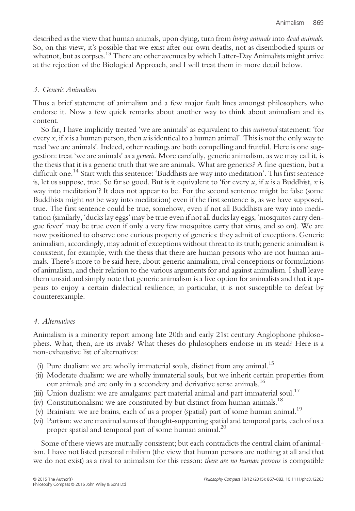described as the view that human animals, upon dying, turn from living animals into dead animals. So, on this view, it's possible that we exist after our own deaths, not as disembodied spirits or whatnot, but as corpses.<sup>13</sup> There are other avenues by which Latter-Day Animalists might arrive at the rejection of the Biological Approach, and I will treat them in more detail below.

# 3. Generic Animalism

Thus a brief statement of animalism and a few major fault lines amongst philosophers who endorse it. Now a few quick remarks about another way to think about animalism and its content.

So far, I have implicitly treated 'we are animals' as equivalent to this universal statement: 'for every x, if x is a human person, then x is identical to a human animal'. This is not the only way to read 'we are animals'. Indeed, other readings are both compelling and fruitful. Here is one suggestion: treat 'we are animals' as a generic. More carefully, generic animalism, as we may call it, is the thesis that it is a generic truth that we are animals. What are generics? A fine question, but a difficult one.<sup>14</sup> Start with this sentence: 'Buddhists are way into meditation'. This first sentence is, let us suppose, true. So far so good. But is it equivalent to 'for every x, if x is a Buddhist, x is way into meditation'? It does not appear to be. For the second sentence might be false (some Buddhists might not be way into meditation) even if the first sentence is, as we have supposed, true. The first sentence could be true, somehow, even if not all Buddhists are way into meditation (similarly, 'ducks lay eggs' may be true even if not all ducks lay eggs, 'mosquitos carry dengue fever' may be true even if only a very few mosquitos carry that virus, and so on). We are now positioned to observe one curious property of generics: they admit of exceptions. Generic animalism, accordingly, may admit of exceptions without threat to its truth; generic animalism is consistent, for example, with the thesis that there are human persons who are not human animals. There's more to be said here, about generic animalism, rival conceptions or formulations of animalism, and their relation to the various arguments for and against animalism. I shall leave them unsaid and simply note that generic animalism is a live option for animalists and that it appears to enjoy a certain dialectical resilience; in particular, it is not susceptible to defeat by counterexample.

# 4. Alternatives

Animalism is a minority report among late 20th and early 21st century Anglophone philosophers. What, then, are its rivals? What theses do philosophers endorse in its stead? Here is a non-exhaustive list of alternatives:

- (i) Pure dualism: we are wholly immaterial souls, distinct from any animal.<sup>15</sup>
- (ii) Moderate dualism: we are wholly immaterial souls, but we inherit certain properties from our animals and are only in a secondary and derivative sense animals.<sup>16</sup>
- (iii) Union dualism: we are amalgams: part material animal and part immaterial soul.<sup>17</sup>
- (iv) Constitutionalism: we are constituted by but distinct from human animals.<sup>18</sup>
- (v) Brainism: we are brains, each of us a proper (spatial) part of some human animal.<sup>19</sup>
- (vi) Partism: we are maximal sums of thought-supporting spatial and temporal parts, each of us a proper spatial and temporal part of some human animal. $^{20}$

Some of these views are mutually consistent; but each contradicts the central claim of animalism. I have not listed personal nihilism (the view that human persons are nothing at all and that we do not exist) as a rival to animalism for this reason: there are no human persons is compatible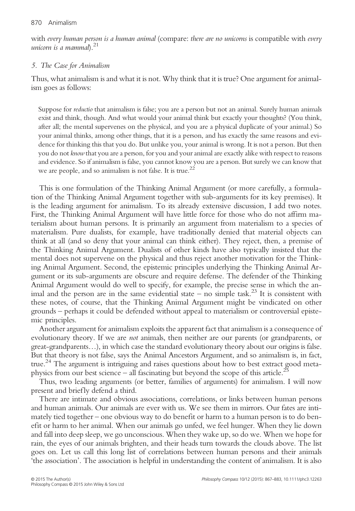with every human person is a human animal (compare: there are no unicorns is compatible with every unicorn is a mammal). $^{21}$ 

# 5. The Case for Animalism

Thus, what animalism is and what it is not. Why think that it is true? One argument for animalism goes as follows:

Suppose for reductio that animalism is false; you are a person but not an animal. Surely human animals exist and think, though. And what would your animal think but exactly your thoughts? (You think, after all; the mental supervenes on the physical, and you are a physical duplicate of your animal.) So your animal thinks, among other things, that it is a person, and has exactly the same reasons and evidence for thinking this that you do. But unlike you, your animal is wrong. It is not a person. But then you do not know that you are a person, for you and your animal are exactly alike with respect to reasons and evidence. So if animalism is false, you cannot know you are a person. But surely we can know that we are people, and so animalism is not false. It is true.<sup>22</sup>

This is one formulation of the Thinking Animal Argument (or more carefully, a formulation of the Thinking Animal Argument together with sub-arguments for its key premises). It is the leading argument for animalism. To its already extensive discussion, I add two notes. First, the Thinking Animal Argument will have little force for those who do not affirm materialism about human persons. It is primarily an argument from materialism to a species of materialism. Pure dualists, for example, have traditionally denied that material objects can think at all (and so deny that your animal can think either). They reject, then, a premise of the Thinking Animal Argument. Dualists of other kinds have also typically insisted that the mental does not supervene on the physical and thus reject another motivation for the Thinking Animal Argument. Second, the epistemic principles underlying the Thinking Animal Argument or its sub-arguments are obscure and require defense. The defender of the Thinking Animal Argument would do well to specify, for example, the precise sense in which the animal and the person are in the same evidential state – no simple task.<sup>23</sup> It is consistent with these notes, of course, that the Thinking Animal Argument might be vindicated on other grounds – perhaps it could be defended without appeal to materialism or controversial epistemic principles.

Another argument for animalism exploits the apparent fact that animalism is a consequence of evolutionary theory. If we are *not* animals, then neither are our parents (or grandparents, or great-grandparents…), in which case the standard evolutionary theory about our origins is false. But that theory is not false, says the Animal Ancestors Argument, and so animalism is, in fact, true.<sup>24</sup> The argument is intriguing and raises questions about how to best extract good metaphysics from our best science – all fascinating but beyond the scope of this article.<sup>25</sup>

Thus, two leading arguments (or better, families of arguments) for animalism. I will now present and brief ly defend a third.

There are intimate and obvious associations, correlations, or links between human persons and human animals. Our animals are ever with us. We see them in mirrors. Our fates are intimately tied together – one obvious way to do benefit or harm to a human person is to do benefit or harm to her animal. When our animals go unfed, we feel hunger. When they lie down and fall into deep sleep, we go unconscious. When they wake up, so do we. When we hope for rain, the eyes of our animals brighten, and their heads turn towards the clouds above. The list goes on. Let us call this long list of correlations between human persons and their animals 'the association'. The association is helpful in understanding the content of animalism. It is also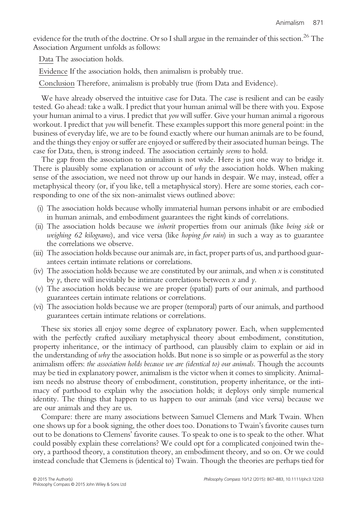evidence for the truth of the doctrine. Or so I shall argue in the remainder of this section.<sup>26</sup> The Association Argument unfolds as follows:

Data The association holds.

Evidence If the association holds, then animalism is probably true.

Conclusion Therefore, animalism is probably true (from Data and Evidence).

We have already observed the intuitive case for Data. The case is resilient and can be easily tested. Go ahead: take a walk. I predict that your human animal will be there with you. Expose your human animal to a virus. I predict that you will suffer. Give your human animal a rigorous workout. I predict that you will benefit. These examples support this more general point: in the business of everyday life, we are to be found exactly where our human animals are to be found, and the things they enjoy or suffer are enjoyed or suffered by their associated human beings. The case for Data, then, is strong indeed. The association certainly seems to hold.

The gap from the association to animalism is not wide. Here is just one way to bridge it. There is plausibly some explanation or account of why the association holds. When making sense of the association, we need not throw up our hands in despair. We may, instead, offer a metaphysical theory (or, if you like, tell a metaphysical story). Here are some stories, each corresponding to one of the six non-animalist views outlined above:

- (i) The association holds because wholly immaterial human persons inhabit or are embodied in human animals, and embodiment guarantees the right kinds of correlations.
- (ii) The association holds because we *inherit* properties from our animals (like *being sick* or weighing 62 kilograms), and vice versa (like hoping for rain) in such a way as to guarantee the correlations we observe.
- (iii) The association holds because our animals are, in fact, proper parts of us, and parthood guarantees certain intimate relations or correlations.
- (iv) The association holds because we are constituted by our animals, and when  $x$  is constituted by  $\gamma$ , there will inevitably be intimate correlations between  $x$  and  $\gamma$ .
- (v) The association holds because we are proper (spatial) parts of our animals, and parthood guarantees certain intimate relations or correlations.
- (vi) The association holds because we are proper (temporal) parts of our animals, and parthood guarantees certain intimate relations or correlations.

These six stories all enjoy some degree of explanatory power. Each, when supplemented with the perfectly crafted auxiliary metaphysical theory about embodiment, constitution, property inheritance, or the intimacy of parthood, can plausibly claim to explain or aid in the understanding of  $why$  the association holds. But none is so simple or as powerful as the story animalism offers: the association holds because we are *(identical to)* our animals. Though the accounts may be tied in explanatory power, animalism is the victor when it comes to simplicity. Animalism needs no abstruse theory of embodiment, constitution, property inheritance, or the intimacy of parthood to explain why the association holds; it deploys only simple numerical identity. The things that happen to us happen to our animals (and vice versa) because we are our animals and they are us.

Compare: there are many associations between Samuel Clemens and Mark Twain. When one shows up for a book signing, the other does too. Donations to Twain's favorite causes turn out to be donations to Clemens' favorite causes. To speak to one is to speak to the other. What could possibly explain these correlations? We could opt for a complicated conjoined twin theory, a parthood theory, a constitution theory, an embodiment theory, and so on. Or we could instead conclude that Clemens is (identical to) Twain. Though the theories are perhaps tied for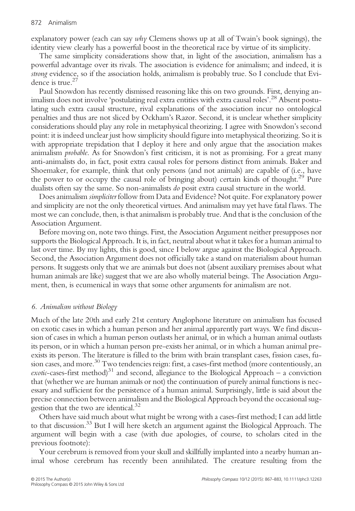explanatory power (each can say why Clemens shows up at all of Twain's book signings), the identity view clearly has a powerful boost in the theoretical race by virtue of its simplicity.

The same simplicity considerations show that, in light of the association, animalism has a powerful advantage over its rivals. The association is evidence for animalism; and indeed, it is strong evidence, so if the association holds, animalism is probably true. So I conclude that Evidence is true. $27$ 

Paul Snowdon has recently dismissed reasoning like this on two grounds. First, denying animalism does not involve 'postulating real extra entities with extra causal roles'. <sup>28</sup> Absent postulating such extra causal structure, rival explanations of the association incur no ontological penalties and thus are not sliced by Ockham's Razor. Second, it is unclear whether simplicity considerations should play any role in metaphysical theorizing. I agree with Snowdon's second point: it is indeed unclear just how simplicity should figure into metaphysical theorizing. So it is with appropriate trepidation that I deploy it here and only argue that the association makes animalism probable. As for Snowdon's first criticism, it is not as promising. For a great many anti-animalists do, in fact, posit extra causal roles for persons distinct from animals. Baker and Shoemaker, for example, think that only persons (and not animals) are capable of (i.e., have the power to or occupy the causal role of bringing about) certain kinds of thought.<sup>29</sup> Pure dualists often say the same. So non-animalists do posit extra causal structure in the world.

Does animalism simpliciter follow from Data and Evidence? Not quite. For explanatory power and simplicity are not the only theoretical virtues. And animalism may yet have fatal flaws. The most we can conclude, then, is that animalism is probably true. And that is the conclusion of the Association Argument.

Before moving on, note two things. First, the Association Argument neither presupposes nor supports the Biological Approach. It is, in fact, neutral about what it takes for a human animal to last over time. By my lights, this is good, since I below argue against the Biological Approach. Second, the Association Argument does not officially take a stand on materialism about human persons. It suggests only that we are animals but does not (absent auxiliary premises about what human animals are like) suggest that we are also wholly material beings. The Association Argument, then, is ecumenical in ways that some other arguments for animalism are not.

# 6. Animalism without Biology

Much of the late 20th and early 21st century Anglophone literature on animalism has focused on exotic cases in which a human person and her animal apparently part ways. We find discussion of cases in which a human person outlasts her animal, or in which a human animal outlasts its person, or in which a human person pre-exists her animal, or in which a human animal preexists its person. The literature is filled to the brim with brain transplant cases, fission cases, fusion cases, and more.<sup>30</sup> Two tendencies reign: first, a cases-first method (more contentiously, an exotic-cases-first method)<sup>31</sup> and second, allegiance to the Biological Approach – a conviction that (whether we are human animals or not) the continuation of purely animal functions is necessary and sufficient for the persistence of a human animal. Surprisingly, little is said about the precise connection between animalism and the Biological Approach beyond the occasional suggestion that the two are identical.<sup>32</sup>

Others have said much about what might be wrong with a cases-first method; I can add little to that discussion.<sup>33</sup> But I will here sketch an argument against the Biological Approach. The argument will begin with a case (with due apologies, of course, to scholars cited in the previous footnote):

Your cerebrum is removed from your skull and skillfully implanted into a nearby human animal whose cerebrum has recently been annihilated. The creature resulting from the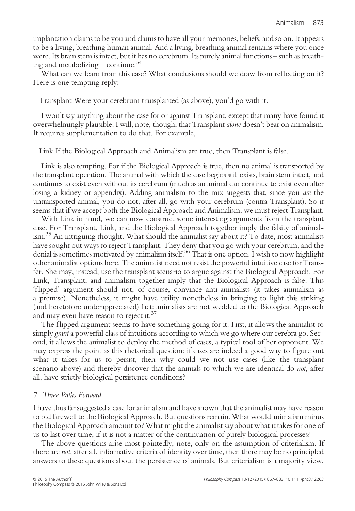implantation claims to be you and claims to have all your memories, beliefs, and so on. It appears to be a living, breathing human animal. And a living, breathing animal remains where you once were. Its brain stem is intact, but it has no cerebrum. Its purely animal functions – such as breathing and metabolizing – continue. $34$ 

What can we learn from this case? What conclusions should we draw from reflecting on it? Here is one tempting reply:

Transplant Were your cerebrum transplanted (as above), you'd go with it.

I won't say anything about the case for or against Transplant, except that many have found it overwhelmingly plausible. I will, note, though, that Transplant alone doesn't bear on animalism. It requires supplementation to do that. For example,

Link If the Biological Approach and Animalism are true, then Transplant is false.

Link is also tempting. For if the Biological Approach is true, then no animal is transported by the transplant operation. The animal with which the case begins still exists, brain stem intact, and continues to exist even without its cerebrum (much as an animal can continue to exist even after losing a kidney or appendix). Adding animalism to the mix suggests that, since you *are* the untransported animal, you do not, after all, go with your cerebrum (contra Transplant). So it seems that if we accept both the Biological Approach and Animalism, we must reject Transplant.

With Link in hand, we can now construct some interesting arguments from the transplant case. For Transplant, Link, and the Biological Approach together imply the falsity of animal- $\sin^{35}$  An intriguing thought. What should the animalist say about it? To date, most animalists have sought out ways to reject Transplant. They deny that you go with your cerebrum, and the denial is sometimes motivated by animalism itself.<sup>36</sup> That is one option. I wish to now highlight other animalist options here. The animalist need not resist the powerful intuitive case for Transfer. She may, instead, use the transplant scenario to argue against the Biological Approach. For Link, Transplant, and animalism together imply that the Biological Approach is false. This 'f lipped' argument should not, of course, convince anti-animalists (it takes animalism as a premise). Nonetheless, it might have utility nonetheless in bringing to light this striking (and heretofore underappreciated) fact: animalists are not wedded to the Biological Approach and may even have reason to reject it.<sup>37</sup>

The flipped argument seems to have something going for it. First, it allows the animalist to simply *grant* a powerful class of intuitions according to which we go where our cerebra go. Second, it allows the animalist to deploy the method of cases, a typical tool of her opponent. We may express the point as this rhetorical question: if cases are indeed a good way to figure out what it takes for us to persist, then why could we not use cases (like the transplant scenario above) and thereby discover that the animals to which we are identical do *not*, after all, have strictly biological persistence conditions?

### 7. Three Paths Forward

I have thus far suggested a case for animalism and have shown that the animalist may have reason to bid farewell to the Biological Approach. But questions remain. What would animalism minus the Biological Approach amount to? What might the animalist say about what it takes for one of us to last over time, if it is not a matter of the continuation of purely biological processes?

The above questions arise most pointedly, note, only on the assumption of criterialism. If there are not, after all, informative criteria of identity over time, then there may be no principled answers to these questions about the persistence of animals. But criterialism is a majority view,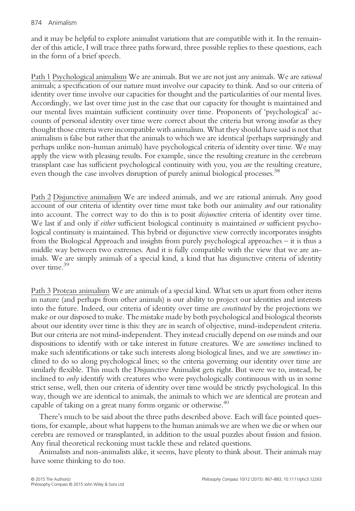and it may be helpful to explore animalist variations that are compatible with it. In the remainder of this article, I will trace three paths forward, three possible replies to these questions, each in the form of a brief speech.

Path 1 Psychological animalism We are animals. But we are not just any animals. We are rational animals; a specification of our nature must involve our capacity to think. And so our criteria of identity over time involve our capacities for thought and the particularities of our mental lives. Accordingly, we last over time just in the case that our capacity for thought is maintained and our mental lives maintain sufficient continuity over time. Proponents of 'psychological' accounts of personal identity over time were correct about the criteria but wrong insofar as they thought those criteria were incompatible with animalism. What they should have said is not that animalism is false but rather that the animals to which we are identical (perhaps surprisingly and perhaps unlike non-human animals) have psychological criteria of identity over time. We may apply the view with pleasing results. For example, since the resulting creature in the cerebrum transplant case has sufficient psychological continuity with you, you are the resulting creature, even though the case involves disruption of purely animal biological processes.<sup>38</sup>

Path 2 Disjunctive animalism We are indeed animals, and we are rational animals. Any good account of our criteria of identity over time must take both our animality *and* our rationality into account. The correct way to do this is to posit *disjunctive* criteria of identity over time. We last if and only if *either* sufficient biological continuity is maintained *or* sufficient psychological continuity is maintained. This hybrid or disjunctive view correctly incorporates insights from the Biological Approach and insights from purely psychological approaches – it is thus a middle way between two extremes. And it is fully compatible with the view that we are animals. We are simply animals of a special kind, a kind that has disjunctive criteria of identity over time.39

Path 3 Protean animalism We are animals of a special kind. What sets us apart from other items in nature (and perhaps from other animals) is our ability to project our identities and interests into the future. Indeed, our criteria of identity over time are constituted by the projections we make or our disposed to make. The mistake made by both psychological and biological theorists about our identity over time is this: they are in search of objective, mind-independent criteria. But our criteria are not mind-independent. They instead crucially depend on *our* minds and our dispositions to identify with or take interest in future creatures. We are sometimes inclined to make such identifications or take such interests along biological lines, and we are *sometimes* inclined to do so along psychological lines; so the criteria governing our identity over time are similarly flexible. This much the Disjunctive Animalist gets right. But were we to, instead, be inclined to *only* identify with creatures who were psychologically continuous with us in some strict sense, well, then our criteria of identity over time would be strictly psychological. In this way, though we are identical to animals, the animals to which we are identical are protean and capable of taking on a great many forms organic or otherwise.<sup>40</sup>

There's much to be said about the three paths described above. Each will face pointed questions, for example, about what happens to the human animals we are when we die or when our cerebra are removed or transplanted, in addition to the usual puzzles about fission and fusion. Any final theoretical reckoning must tackle these and related questions.

Animalists and non-animalists alike, it seems, have plenty to think about. Their animals may have some thinking to do too.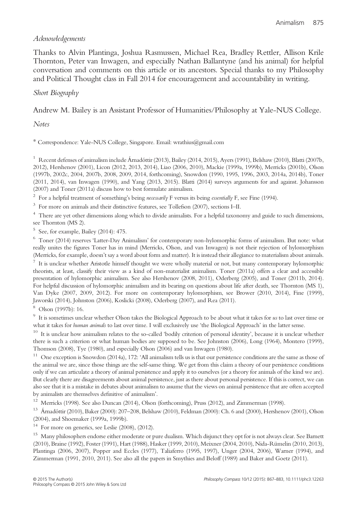# Acknowledgements

Thanks to Alvin Plantinga, Joshua Rasmussen, Michael Rea, Bradley Rettler, Allison Krile Thornton, Peter van Inwagen, and especially Nathan Ballantyne (and his animal) for helpful conversation and comments on this article or its ancestors. Special thanks to my Philosophy and Political Thought class in Fall 2014 for encouragement and accountability in writing.

## Short Biography

Andrew M. Bailey is an Assistant Professor of Humanities/Philosophy at Yale-NUS College.

Notes

\* Correspondence: Yale-NUS College, Singapore. Email: wrathius@gmail.com

<sup>1</sup> Recent defenses of animalism include Árnadóttir (2013), Bailey (2014, 2015), Ayers (1991), Belshaw (2010), Blatti (2007b, 2012), Hershenov (2001), Licon (2012, 2013, 2014), Liao (2006, 2010), Mackie (1999a, 1999b), Merricks (2001b), Olson (1997b, 2002c, 2004, 2007b, 2008, 2009, 2014, forthcoming), Snowdon (1990, 1995, 1996, 2003, 2014a, 2014b), Toner (2011, 2014), van Inwagen (1990), and Yang (2013, 2015). Blatti (2014) surveys arguments for and against. Johansson (2007) and Toner (2011a) discuss how to best formulate animalism.

<sup>2</sup> For a helpful treatment of something's being *necessarily* F versus its being *essentially* F, see Fine (1994).

<sup>3</sup> For more on animals and their distinctive features, see Tollefson (2007), sections I–II.

<sup>4</sup> There are yet other dimensions along which to divide animalists. For a helpful taxonomy and guide to such dimensions, see Thornton (MS 2).

 $5$  See, for example, Bailey (2014): 475.

<sup>6</sup> Toner (2014) reserves 'Latter-Day Animalism' for contemporary non-hylomorphic forms of animalism. But note: what really unites the figures Toner has in mind (Merricks, Olson, and van Inwagen) is not their rejection of hylomorphism (Merricks, for example, doesn't say a word about form and matter). It is instead their allegiance to materialism about animals.

It is unclear whether Aristotle himself thought we were wholly material or not, but many contemporary hylomorphic theorists, at least, classify their view as a kind of non-materialist animalism. Toner (2011a) offers a clear and accessible presentation of hylomorphic animalism. See also Hershenov (2008, 2011), Oderberg (2005), and Toner (2011b, 2014). For helpful discussion of hylomorphic animalism and its bearing on questions about life after death, see Thornton (MS 1), Van Dyke (2007, 2009, 2012). For more on contemporary hylomorphism, see Brower (2010, 2014), Fine (1999), Jaworski (2014), Johnston (2006), Koslicki (2008), Oderberg (2007), and Rea (2011).

<sup>8</sup> Olson (1997b): 16.

<sup>9</sup> It is sometimes unclear whether Olson takes the Biological Approach to be about what it takes for us to last over time or what it takes for human animals to last over time. I will exclusively use 'the Biological Approach' in the latter sense.

<sup>10</sup> It is unclear how animalism relates to the so-called 'bodily criterion of personal identity', because it is unclear whether there is such a criterion or what human bodies are supposed to be. See Johnston (2006), Long (1964), Montero (1999), Thomson (2008), Tye (1980), and especially Olson (2006) and van Inwagen (1980).

<sup>11</sup> One exception is Snowdon (2014a), 172: 'All animalism tells us is that our persistence conditions are the same as those of the animal we are, since those things are the self-same thing. We get from this claim a theory of our persistence conditions only if we can articulate a theory of animal persistence and apply it to ourselves (or a theory for animals of the kind we are). But clearly there are disagreements about animal persistence, just as there about personal persistence. If this is correct, we can also see that it is a mistake in debates about animalism to assume that the views on animal persistence that are often accepted by animalists are themselves definitive of animalism'.

<sup>12</sup> Merricks (1998). See also Duncan (2014), Olson (forthcoming), Pruss (2012), and Zimmerman (1998).

<sup>13</sup> Árnadóttir (2010), Baker (2000): 207–208, Belshaw (2010), Feldman (2000): Ch. 6 and (2000), Hershenov (2001), Olson (2004), and Shoemaker (1999a, 1999b).

<sup>14</sup> For more on generics, see Leslie  $(2008)$ ,  $(2012)$ .

<sup>15</sup> Many philosophers endorse either moderate or pure dualism. Which disjunct they opt for is not always clear. See Barnett (2010), Braine (1992), Foster (1991), Hart (1988), Hasker (1999, 2010), Meixner (2004, 2010), Nida-Rümelin (2010, 2013), Plantinga (2006, 2007), Popper and Eccles (1977), Taliaferro (1995, 1997), Unger (2004, 2006), Warner (1994), and Zimmerman (1991, 2010, 2011). See also all the papers in Smythies and Beloff (1989) and Baker and Goetz (2011).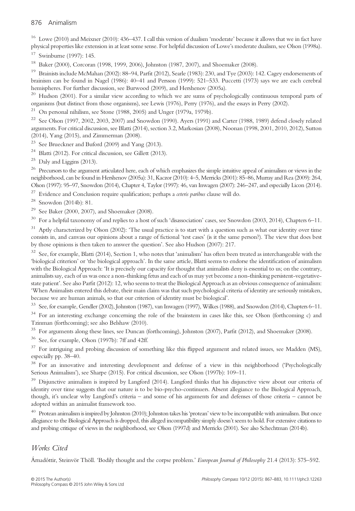<sup>16</sup> Lowe (2010) and Meixner (2010): 436–437. I call this version of dualism 'moderate' because it allows that we in fact have physical properties like extension in at least some sense. For helpful discussion of Lowe's moderate dualism, see Olson (1998a).

<sup>17</sup> Swinburne (1997): 145.

<sup>18</sup> Baker (2000), Corcoran (1998, 1999, 2006), Johnston (1987, 2007), and Shoemaker (2008).

<sup>19</sup> Brainists include McMahan (2002): 88–94, Parfit (2012), Searle (1983): 230, and Tye (2003): 142. Cagey endorsements of brainism can be found in Nagel (1986): 40–41 and Persson (1999): 521–533. Puccetti (1973) says we are each cerebral hemispheres. For further discussion, see Burwood (2009), and Hershenov (2005a).

 $20$  Hudson (2001). For a similar view according to which we are sums of psychologically continuous temporal parts of organisms (but distinct from those organisms), see Lewis (1976), Perry (1976), and the essays in Perry (2002).

 $21$  On personal nihilism, see Stone (1988, 2005) and Unger (1979a, 1979b).

<sup>22</sup> See Olson (1997, 2002, 2003, 2007) and Snowdon (1990). Ayers (1991) and Carter (1988, 1989) defend closely related arguments. For critical discussion, see Blatti (2014), section 3.2, Markosian (2008), Noonan (1998, 2001, 2010, 2012), Sutton (2014), Yang (2015), and Zimmerman (2008).

 $23$  See Brueckner and Buford (2009) and Yang (2013).

- $24$  Blatti (2012). For critical discussion, see Gillett (2013).
- $25$  Daly and Liggins (2013).

 $26$  Precursors to the argument articulated here, each of which emphasizes the simple intuitive appeal of animalism or views in the neighborhood, can be found in Hershenov (2005a): 31, Kaczor (2010): 4–5, Merricks (2001): 85–86, Murray and Rea (2009): 264, Olson (1997): 95–97, Snowdon (2014), Chapter 4, Taylor (1997): 46, van Inwagen (2007): 246–247, and especially Licon (2014).

 $27$  Evidence and Conclusion require qualification; perhaps a *ceteris paribus* clause will do.

<sup>28</sup> Snowdon (2014b): 81.

<sup>29</sup> See Baker (2000, 2007), and Shoemaker (2008).

 $30\,$  For a helpful taxonomy of and replies to a host of such 'disassociation' cases, see Snowdon (2003, 2014), Chapters 6–11.

 $31$  Aptly characterized by Olson (2002): 'The usual practice is to start with a question such as what our identity over time consists in, and canvass our opinions about a range of fictional 'test cases' (is it the same person?). The view that does best by those opinions is then taken to answer the question'. See also Hudson (2007): 217.

<sup>32</sup> See, for example, Blatti (2014), Section 1, who notes that 'animalism' has often been treated as interchangeable with the 'biological criterion' or 'the biological approach'. In the same article, Blatti seems to endorse the identification of animalism with the Biological Approach: 'It is precisely our capacity for thought that animalists deny is essential to us; on the contrary, animalists say, each of us was once a non-thinking fetus and each of us may yet become a non-thinking persistent-vegetativestate patient'. See also Parfit (2012): 12, who seems to treat the Biological Approach as an obvious consequence of animalism: 'When Animalists entered this debate, their main claim was that such psychological criteria of identity are seriously mistaken, because we are human animals, so that our criterion of identity must be biological'.

<sup>33</sup> See, for example, Gendler (2002), Johnston (1987), van Inwagen (1997), Wilkes (1988), and Snowdon (2014), Chapters 6–11.

 $34$  For an interesting exchange concerning the role of the brainstem in cases like this, see Olson (forthcoming c) and Tzinman (forthcoming); see also Belshaw (2010).

<sup>35</sup> For arguments along these lines, see Duncan (forthcoming), Johnston (2007), Parfit (2012), and Shoemaker (2008).

<sup>36</sup> See, for example, Olson (1997b): 7ff and 42ff.

<sup>37</sup> For intriguing and probing discussion of something like this flipped argument and related issues, see Madden (MS), especially pp. 38–40.

<sup>38</sup> For an innovative and interesting development and defense of a view in this neighborhood ('Psychologically Serious Animalism'), see Sharpe (2015). For critical discussion, see Olson (1997b): 109–11.

<sup>39</sup> Disjunctive animalism is inspired by Langford (2014). Langford thinks that his disjunctive view about our criteria of identity over time suggests that our nature is to be bio-psycho-continuers. Absent allegiance to the Biological Approach, though, it's unclear why Langford's criteria – and some of his arguments for and defenses of those criteria – cannot be adopted within an animalist framework too.

<sup>40</sup> Protean animalism is inspired by Johnston (2010); Johnston takes his 'protean' view to be incompatible with animalism. But once allegiance to the Biological Approach is dropped, this alleged incompatibility simply doesn't seem to hold. For extensive citations to and probing critique of views in the neighborhood, see Olson (1997d) and Merricks (2001). See also Schechtman (2014b).

# Works Cited

Árnadóttir, Steinvör Thöll. 'Bodily thought and the corpse problem.' European Journal of Philosophy 21.4 (2013): 575–592.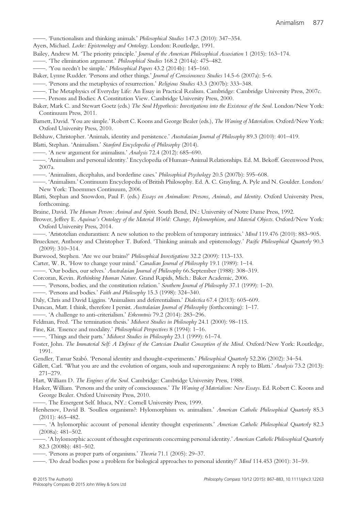- ——. 'Functionalism and thinking animals.' Philosophical Studies 147.3 (2010): 347–354.
- Ayers, Michael. Locke: Epistemology and Ontology. London: Routledge, 1991.
- Bailey, Andrew M. 'The priority principle.' Journal of the American Philosophical Association 1 (2015): 163–174.
- -. 'The elimination argument.' Philosophical Studies 168.2 (2014a): 475-482.
- -. 'You needn't be simple.' Philosophical Papers 43.2 (2014b): 145-160.
- Baker, Lynne Rudder. 'Persons and other things.' Journal of Consciousness Studies 14.5-6 (2007a): 5–6.
- ——. 'Persons and the metaphysics of resurrection.' Religious Studies 43.3 (2007b): 333–348.
- ——. The Metaphysics of Everyday Life: An Essay in Practical Realism. Cambridge: Cambridge University Press, 2007c. ——. Persons and Bodies: A Constitution View. Cambridge University Press, 2000.
- Baker, Mark C. and Stewart Goetz (eds.) The Soul Hypothesis: Investigations into the Existence of the Soul. London/New York: Continuum Press, 2011.
- Barnett, David. 'You are simple.' Robert C. Koons and George Bealer (eds.), The Waning of Materialism. Oxford/New York: Oxford University Press, 2010.
- Belshaw, Christopher. 'Animals, identity and persistence.' Australasian Journal of Philosophy 89.3 (2010): 401–419.
- Blatti, Stephan. 'Animalism.' Stanford Encyclopedia of Philosophy (2014).
- ——. 'A new argument for animalism.' Analysis 72.4 (2012): 685–690.
- ——. 'Animalism and personal identity.' Encyclopedia of Human–Animal Relationships. Ed. M. Bekoff. Greenwood Press, 2007a.
- ——. 'Animalism, dicephalus, and borderline cases.' Philosophical Psychology 20.5 (2007b): 595–608.
- ——. 'Animalism.' Continuum Encyclopedia of British Philosophy. Ed. A. C. Grayling, A. Pyle and N. Goulder. London/ New York: Thoemmes Continuum, 2006.
- Blatti, Stephan and Snowdon, Paul F. (eds.) Essays on Animalism: Persons, Animals, and Identity. Oxford University Press, forthcoming.
- Braine, David. The Human Person: Animal and Spirit. South Bend, IN.: University of Notre Dame Press, 1992.
- Brower, Jeffrey E. Aquinas's Ontology of the Material World: Change, Hylomorphism, and Material Objects. Oxford/New York: Oxford University Press, 2014.
- ——. 'Aristotelian endurantism: A new solution to the problem of temporary intrinsics.' Mind 119.476 (2010): 883–905.
- Brueckner, Anthony and Christopher T. Buford. 'Thinking animals and epistemology.' Pacific Philosophical Quarterly 90.3 (2009): 310–314.
- Burwood, Stephen. 'Are we our brains?' Philosophical Investigations 32.2 (2009): 113–133.
- Carter, W. R. 'How to change your mind.' Canadian Journal of Philosophy 19.1 (1989): 1–14.
- ——. 'Our bodies, our selves.' Australasian Journal of Philosophy 66.September (1988): 308–319.
- Corcoran, Kevin. Rethinking Human Nature. Grand Rapids, Mich.: Baker Academic, 2006.
- ——. 'Persons, bodies, and the constitution relation.' Southern Journal of Philosophy 37.1 (1999): 1–20.
- ——. 'Persons and bodies.' Faith and Philosophy 15.3 (1998): 324–340.
- Daly, Chris and David Liggins. 'Animalism and deferentialism.' Dialectica 67.4 (2013): 605–609.
- Duncan, Matt. I think, therefore I persist. Australasian Journal of Philosophy (forthcoming): 1–17.
- ——. 'A challenge to anti-criterialism.' Erkenntnis 79.2 (2014): 283–296.
- Feldman, Fred. 'The termination thesis.' Midwest Studies in Philosophy 24.1 (2000): 98–115.
- Fine, Kit. 'Essence and modality.' Philosophical Perspectives 8 (1994): 1–16.
- ——. 'Things and their parts.' Midwest Studies in Philosophy 23.1 (1999): 61–74.
- Foster, John. The Immaterial Self: A Defence of the Cartesian Dualist Conception of the Mind. Oxford/New York: Routledge, 1991.
- Gendler, Tamar Szabó. 'Personal identity and thought-experiments.' Philosophical Quarterly 52.206 (2002): 34–54.
- Gillett, Carl. 'What you are and the evolution of organs, souls and superorganisms: A reply to Blatti.' Analysis 73.2 (2013): 271–279.
- Hart, William D. The Engines of the Soul. Cambridge: Cambridge University Press, 1988.
- Hasker, William. 'Persons and the unity of consciousness.' The Waning of Materialism: New Essays. Ed. Robert C. Koons and George Bealer. Oxford University Press, 2010.
- ——. The Emergent Self. Ithaca, NY.: Cornell University Press, 1999.
- Hershenov, David B. 'Soulless organisms?: Hylomorphism vs. animalism.' American Catholic Philosophical Quarterly 85.3 (2011): 465–482.
- -. 'A hylomorphic account of personal identity thought experiments.' American Catholic Philosophical Quarterly 82.3 (2008a): 481–502.
- -. 'A hylomorphic account of thought experiments concerning personal identity.' American Catholic Philosophical Quarterly 82.3 (2008b): 481–502.
- ——. 'Persons as proper parts of organisms.' Theoria 71.1 (2005): 29–37.
- ——. 'Do dead bodies pose a problem for biological approaches to personal identity?' Mind 114.453 (2001): 31–59.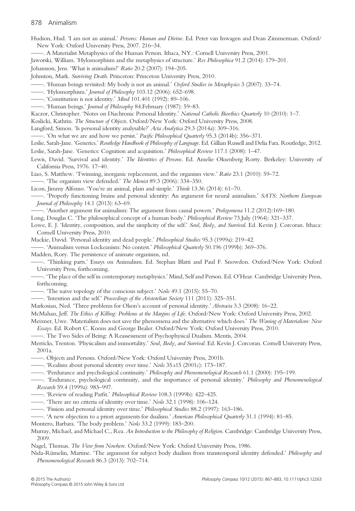- Hudson, Hud. 'I am not an animal.' Persons: Human and Divine. Ed. Peter van Inwagen and Dean Zimmerman. Oxford/ New York: Oxford University Press, 2007. 216–34.
- ——. A Materialist Metaphysics of the Human Person. Ithaca, NY.: Cornell University Press, 2001.
- Jaworski, William. 'Hylomorphism and the metaphysics of structure.' Res Philosophica 91.2 (2014): 179–201.
- Johansson, Jens. 'What is animalism?' Ratio 20.2 (2007): 194–205.

Johnston, Mark. Surviving Death. Princeton: Princeton University Press, 2010.

- ——. 'Human beings revisited: My body is not an animal.' Oxford Studies in Metaphysics 3 (2007): 33–74.
- ——. 'Hylomorphism.' Journal of Philosophy 103.12 (2006): 652–698.
- ——. 'Constitution is not identity.' Mind 101.401 (1992): 89–106.
- ——. 'Human beings.' Journal of Philosophy 84.February (1987): 59–83.
- Kaczor, Christopher. 'Notes on Diachronic Personal Identity.' National Catholic Bioethics Quarterly 10 (2010): 1–7.
- Koslicki, Kathrin. The Structure of Objects. Oxford/New York: Oxford University Press, 2008.
- Langford, Simon. 'Is personal identity analysable?' Acta Analytica 29.3 (2014a): 309–316.
- -. 'On what we are and how we persist.' Pacific Philosophical Quarterly 95.3 (2014b): 356–371.
- Leslie, Sarah-Jane. 'Generics.' Routledge Handbook of Philosophy of Language. Ed. Gillian Russell and Delia Fara. Routledge, 2012.
- Leslie, Sarah-Jane. 'Generics: Cognition and acquisition.' Philosophical Review 117.1 (2008): 1–47.
- Lewis, David. 'Survival and identity.' The Identities of Persons. Ed. Amelie Oksenberg Rorty. Berkeley: University of California Press, 1976. 17–40.
- Liao, S. Matthew. 'Twinning, inorganic replacement, and the organism view.' Ratio 23.1 (2010): 59–72.
- ——. 'The organism view defended.' The Monist 89.3 (2006): 334–350.
- Licon, Jimmy Alfonso. 'You're an animal, plain and simple.' Think 13.36 (2014): 61–70.
- -. 'Properly functioning brains and personal identity: An argument for neural animalism.' SATS: Northern European Journal of Philosophy 14.1 (2013): 63–69.
- ——. 'Another argument for animalism: The argument from causal powers.' Prolegomena 11.2 (2012):169–180.
- Long, Douglas C. 'The philosophical concept of a human body.' Philosophical Review 73.July (1964): 321–337.
- Lowe, E. J. 'Identity, composition, and the simplicity of the self.' Soul, Body, and Survival. Ed. Kevin J. Corcoran. Ithaca: Cornell University Press, 2010.
- Mackie, David. 'Personal identity and dead people.' Philosophical Studies 95.3 (1999a): 219–42.
- ——. 'Animalism versus Lockeanism: No contest.' Philosophical Quarterly 50.196 (1999b): 369–376.
- Madden, Rory. The persistence of animate organisms, nd.
	- ——. 'Thinking parts.' Essays on Animalism. Ed. Stephan Blatti and Paul F. Snowdon. Oxford/New York: Oxford University Press, forthcoming.
- ——. 'The place of the self in contemporary metaphysics.' Mind, Self and Person. Ed. O'Hear. Cambridge University Press, forthcoming.
- ——. 'The naive topology of the conscious subject.' Noûs 49.1 (2015): 55–70.
- -. 'Intention and the self.' Proceedings of the Aristotelian Society 111 (2011): 325-351.
- Markosian, Ned. 'Three problems for Olson's account of personal identity.' Abstracta 3.3 (2008): 16–22.
- McMahan, Jeff. The Ethics of Killing: Problems at the Margins of Life. Oxford/New York: Oxford University Press, 2002.
- Meixner, Uwe. 'Materialism does not save the phenomena and the alternative which does.' The Waning of Materialism: New Essays. Ed. Robert C. Koons and George Bealer. Oxford/New York: Oxford University Press, 2010.
- ——. The Two Sides of Being: A Reassessment of Psychophysical Dualism. Mentis, 2004.

Merricks, Trenton. 'Physicalism and immortality.' Soul, Body, and Survival. Ed. Kevin J. Corcoran. Cornell University Press, 2001a.

- ——. Objects and Persons. Oxford/New York: Oxford University Press, 2001b.
- ——. 'Realism about personal identity over time.' Noûs 35.s15 (2001c): 173–187.
- —. 'Perdurance and psychological continuity.' Philosophy and Phenomenological Research 61.1 (2000): 195-199.
- ——. 'Endurance, psychological continuity, and the importance of personal identity.' Philosophy and Phenomenological Research 59.4 (1999a): 983–997.
- ——. 'Review of reading Parfit.' Philosophical Review 108.3 (1999b): 422–425.
- ——. 'There are no criteria of identity over time.' Noûs 32.1 (1998): 106–124.
- ——. 'Fission and personal identity over time.' Philosophical Studies 88.2 (1997): 163–186.
- ——. 'A new objection to a priori arguments for dualism.' American Philosophical Quarterly 31.1 (1994): 81–85.
- Montero, Barbara. 'The body problem.' Noûs 33.2 (1999): 183–200.
- Murray, Michael, and Michael C., Rea. An Introduction to the Philosophy of Religion. Cambridge: Cambridge University Press, 2009.
- Nagel, Thomas. The View from Nowhere. Oxford/New York: Oxford University Press, 1986.
- Nida-Rümelin, Martine. 'The argument for subject body dualism from transtemporal identity defended.' Philosophy and Phenomenological Research 86.3 (2013): 702–714.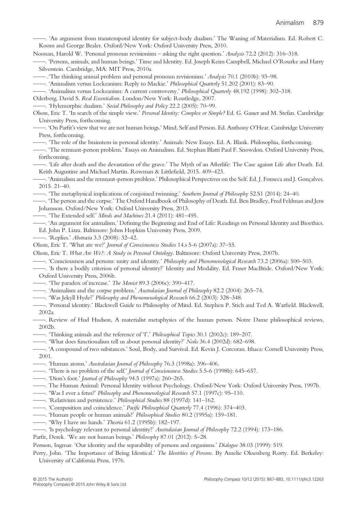——. 'An argument from transtemporal identity for subject-body dualism.' The Waning of Materialism. Ed. Robert C. Koons and George Bealer. Oxford/New York: Oxford University Press, 2010.

Noonan, Harold W. 'Personal pronoun revisionism – asking the right question.' Analysis 72.2 (2012): 316–318.

——. 'Persons, animals, and human beings.' Time and Identity. Ed. Joseph Keim Campbell, Michael O'Rourke and Harry Silverstein. Cambridge, MA: MIT Press, 2010a.

—— .'The thinking animal problem and personal pronoun revisionism.' Analysis 70.1 (2010b): 93–98.

——. 'Animalism versus Lockeanism: Reply to Mackie.' Philosophical Quarterly 51.202 (2001): 83–90.

——. 'Animalism versus Lockeanism: A current controversy.' Philosophical Quarterly 48.192 (1998): 302–318.

Oderberg, David S. Real Essentialism. London/New York: Routledge, 2007.

——. 'Hylemorphic dualism.' Social Philosophy and Policy 22.2 (2005): 70–99.

Olson, Eric T. 'In search of the simple view.' Personal Identity: Complex or Simple? Ed. G. Gasser and M. Stefan. Cambridge University Press, forthcoming.

——. 'On Parfit's view that we are not human beings.' Mind, Self and Person. Ed. Anthony O'Hear. Cambridge University Press, forthcoming.

——. 'The role of the brainstem in personal identity.' Animals: New Essays. Ed. A. Blank. Philosophia, forthcoming.

——. 'The remnant-person problem.' Essays on Animalism. Ed. Stephan Blatti Paul F. Snowdon. Oxford University Press, forthcoming.

——. 'Life after death and the devastation of the grave.' The Myth of an Afterlife: The Case against Life after Death. Ed. Keith Augustine and Michael Martin. Rowman & Littlefield, 2015. 409–423.

——. 'Animalism and the remnant-person problem.' Philosophical Perspectives on the Self. Ed. J. Fonseca and J. Gonçalves. 2015. 21–40.

——. 'The metaphysical implications of conjoined twinning.' Southern Journal of Philosophy 52.S1 (2014): 24–40.

——. 'The person and the corpse.' The Oxford Handbook of Philosophy of Death. Ed. Ben Bradley, Fred Feldman and Jens Johansson. Oxford/New York: Oxford University Press, 2013.

——. 'The Extended self.' Minds and Machines 21.4 (2011): 481–495.

——. 'An argument for animalism.' Defining the Beginning and End of Life: Readings on Personal Identity and Bioethics. Ed. John P. Lizza. Baltimore: Johns Hopkins University Press, 2009.

——. 'Replies.' Abstracta 3.3 (2008): 32–42.

Olson, Eric T. 'What are we?' Journal of Consciousness Studies 14.s 5-6 (2007a): 37–55.

Olson, Eric T. What Are We?: A Study in Personal Ontology. Baltimore: Oxford University Press, 2007b.

——. 'Consciousness and persons: unity and identity.' Philosophy and Phenomenological Research 73.2 (2006a): 500–503.

——. 'Is there a bodily criterion of personal identity?' Identity and Modality. Ed. Fraser MacBride. Oxford/New York: Oxford University Press, 2006b.

——. 'The paradox of increase.' The Monist 89.3 (2006c): 390–417.

——. 'Animalism and the corpse problem.' Australasian Journal of Philosophy 82.2 (2004): 265–74.

——. 'Was Jekyll Hyde?' Philosophy and Phenomenological Research 66.2 (2003): 328–348.

——. 'Personal identity.' Blackwell Guide to Philosophy of Mind. Ed. Stephen P. Stich and Ted A. Warfield. Blackwell, 2002a.

——. Review of Hud Hudson, A materialist metaphysics of the human person. Notre Dame philosophical reviews, 2002b.

——. 'Thinking animals and the reference of 'I'.' Philosophical Topics 30.1 (2002c): 189–207.

——. 'What does functionalism tell us about personal identity?' Noûs 36.4 (2002d): 682–698.

——. 'A compound of two substances.' Soul, Body, and Survival. Ed. Kevin J. Corcoran. Ithaca: Cornell University Press, 2001.

——. 'Human atoms.' Australasian Journal of Philosophy 76.3 (1998a): 396–406.

— . 'There is no problem of the self.' Journal of Consciousness Studies 5.5-6 (1998b): 645–657.

——. 'Dion's foot.' Journal of Philosophy 94.5 (1997a): 260–265.

——. The Human Animal: Personal Identity without Psychology. Oxford/New York: Oxford University Press, 1997b.

——. 'Was I ever a fetus?' Philosophy and Phenomenological Research 57.1 (1997c): 95–110.

——. 'Relativism and persistence.' Philosophical Studies 88 (1997d): 141–162.

——. 'Composition and coincidence.' Pacific Philosophical Quarterly 77.4 (1996): 374–403.

——. 'Human people or human animals?' Philosophical Studies 80.2 (1995a): 159–181.

——. 'Why I have no hands.' Theoria 61.2 (1995b): 182–197.

——. 'Is psychology relevant to personal identity?' Australasian Journal of Philosophy 72.2 (1994): 173–186.

Parfit, Derek. 'We are not human beings.' Philosophy 87.01 (2012): 5–28.

Persson, Ingmar. 'Our identity and the separability of persons and organisms.' Dialogue 38.03 (1999): 519.

Perry, John. 'The Importance of Being Identical.' The Identities of Persons. By Amelie Oksenberg Rorty. Ed. Berkeley: University of California Press, 1976.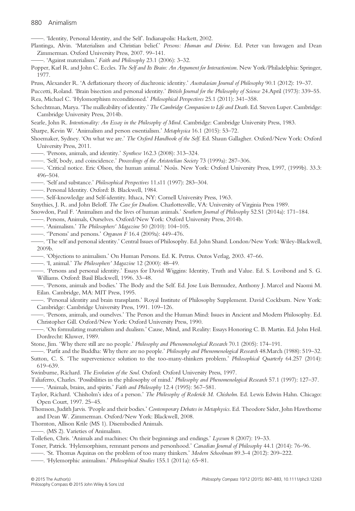——. 'Identity, Personal Identity, and the Self'. Indianapolis: Hackett, 2002.

- Plantinga, Alvin. 'Materialism and Christian belief.' Persons: Human and Divine. Ed. Peter van Inwagen and Dean Zimmerman. Oxford University Press, 2007. 99–141.
- ——. 'Against materialism.' Faith and Philosophy 23.1 (2006): 3–32.
- Popper, Karl R. and John C. Eccles. The Self and Its Brain: An Argument for Interactionism. New York/Philadelphia: Springer, 1977.
- Pruss, Alexander R. 'A deflationary theory of diachronic identity.' Australasian Journal of Philosophy 90.1 (2012): 19–37.
- Puccetti, Roland. 'Brain bisection and personal identity.' British Journal for the Philosophy of Science 24.April (1973): 339-55. Rea, Michael C. 'Hylomorphism reconditioned.' Philosophical Perspectives 25.1 (2011): 341–358.
- Schechtman, Marya. 'The malleability of identity.' The Cambridge Companion to Life and Death. Ed. Steven Luper. Cambridge: Cambridge University Press, 2014b.
- Searle, John R. Intentionality: An Essay in the Philosophy of Mind. Cambridge: Cambridge University Press, 1983.
- Sharpe, Kevin W. 'Animalism and person essentialism.' Metaphysica 16.1 (2015): 53–72.
- Shoemaker, Sydney. 'On what we are.' The Oxford Handbook of the Self. Ed. Shaun Gallagher. Oxford/New York: Oxford University Press, 2011.
- ——. 'Persons, animals, and identity.' Synthese 162.3 (2008): 313–324.
- ——. 'Self, body, and coincidence.' Proceedings of the Aristotelian Society 73 (1999a): 287–306.
- ——. 'Critical notice. Eric Olson, the human animal.' Noûs. New York: Oxford University Press, L997, (1999b). 33.3: 496–504.
- ——. 'Self and substance.' Philosophical Perspectives 11.s11 (1997): 283–304.
- ——. Personal Identity. Oxford: B. Blackwell, 1984.
- ——. Self-knowledge and Self-identity. Ithaca, NY: Cornell University Press, 1963.
- Smythies, J. R. and John Beloff. The Case for Dualism. Charlottesville, VA: University of Virginia Press 1989.
- Snowdon, Paul F. 'Animalism and the lives of human animals.' Southern Journal of Philosophy 52.S1 (2014a): 171–184.
- ——. Persons, Animals, Ourselves. Oxford/New York: Oxford University Press, 2014b.
- ——. 'Animalism.' The Philosophers' Magazine 50 (2010): 104–105.
- —. "Persons' and persons." Organon  $F$  16.4 (2009a): 449–476.
- ——. 'The self and personal identity.' Central Issues of Philosophy. Ed. John Shand. London/New York: Wiley-Blackwell, 2009b.
- ——. 'Objections to animalism.' On Human Persons. Ed. K. Petrus. Ontos Verlag, 2003. 47–66.
- ——. 'I, animal.' The Philosophers' Magazine 12 (2000): 48–49.
- ——. 'Persons and personal identity.' Essays for David Wiggins: Identity, Truth and Value. Ed. S. Lovibond and S. G. Williams. Oxford: Basil Blackwell, 1996. 33–48.
- ——. 'Persons, animals and bodies.' The Body and the Self. Ed. Jose Luis Bermudez, Anthony J. Marcel and Naomi M. Eilan. Cambridge, MA: MIT Press, 1995.
- ——. 'Personal identity and brain transplants.' Royal Institute of Philosophy Supplement. David Cockburn. New York: Cambridge: Cambridge University Press, 1991. 109–126.
- ——. 'Persons, animals, and ourselves.' The Person and the Human Mind: Issues in Ancient and Modern Philosophy. Ed. Christopher Gill. Oxford/New York: Oxford University Press, 1990.
- ——. 'On formulating materialism and dualism.' Cause, Mind, and Reality: Essays Honoring C. B. Martin. Ed. John Heil. Dordrecht: Kluwer, 1989.
- Stone, Jim. 'Why there still are no people.' Philosophy and Phenomenological Research 70.1 (2005): 174–191.
- ——. 'Parfit and the Buddha: Why there are no people.' Philosophy and Phenomenological Research 48.March (1988): 519–32.
- Sutton, C. S. 'The supervenience solution to the too-many-thinkers problem.' Philosophical Quarterly 64.257 (2014): 619–639.
- Swinburne, Richard. The Evolution of the Soul. Oxford: Oxford University Press, 1997.
- Taliaferro, Charles. 'Possibilities in the philosophy of mind.' Philosophy and Phenomenological Research 57.1 (1997): 127–37. -. 'Animals, brains, and spirits.' Faith and Philosophy 12.4 (1995): 567-581.
- Taylor, Richard. 'Chisholm's idea of a person.' The Philosophy of Roderick M. Chisholm. Ed. Lewis Edwin Hahn. Chicago: Open Court, 1997. 25–45.
- Thomson, Judith Jarvis. 'People and their bodies.' Contemporary Debates in Metaphysics. Ed. Theodore Sider, John Hawthorne and Dean W. Zimmerman. Oxford/New York: Blackwell, 2008.
- Thornton, Allison Krile (MS 1). Disembodied Animals.
- ——. (MS 2). Varieties of Animalism.
- Tollefsen, Chris. 'Animals and machines: On their beginnings and endings.' Lyceum 8 (2007): 19–33.
- Toner, Patrick. 'Hylemorphism, remnant persons and personhood.' Canadian Journal of Philosophy 44.1 (2014): 76–96.
- ——. 'St. Thomas Aquinas on the problem of too many thinkers.' Modern Schoolman 89.3-4 (2012): 209–222.
- ——. 'Hylemorphic animalism.' Philosophical Studies 155.1 (2011a): 65–81.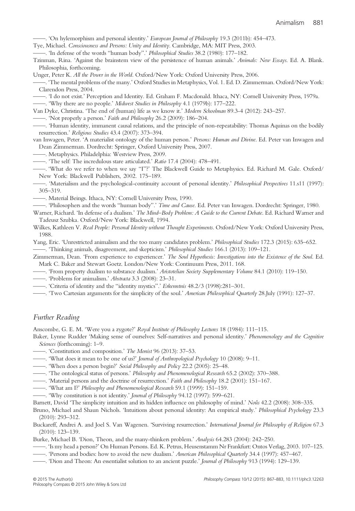——. 'On hylemorphism and personal identity.' European Journal of Philosophy 19.3 (2011b): 454–473.

- Tye, Michael. Consciousness and Persons: Unity and Identity. Cambridge, MA: MIT Press, 2003.
- ——. 'In defense of the words "human body".' Philosophical Studies 38.2 (1980): 177–182.
- Tzinman, Rina. 'Against the brainstem view of the persistence of human animals.' Animals: New Essays. Ed. A. Blank. Philosophia, forthcoming.

Unger, Peter K. All the Power in the World. Oxford/New York: Oxford University Press, 2006.

——. 'The mental problems of the many.' Oxford Studies in Metaphysics, Vol. 1. Ed. D. Zimmerman. Oxford/New York: Clarendon Press, 2004.

——. 'I do not exist.' Perception and Identity. Ed. Graham F. Macdonald. Ithaca, NY: Cornell University Press, 1979a.

——. 'Why there are no people.' Midwest Studies in Philosophy 4.1 (1979b): 177–222.

Van Dyke, Christina. 'The end of (human) life as we know it.' Modern Schoolman 89.3-4 (2012): 243–257.

——. 'Not properly a person.' Faith and Philosophy 26.2 (2009): 186–204.

——. 'Human identity, immanent causal relations, and the principle of non-repeatability: Thomas Aquinas on the bodily resurrection.' Religious Studies 43.4 (2007): 373–394.

van Inwagen, Peter. 'A materialist ontology of the human person.' Persons: Human and Divine. Ed. Peter van Inwagen and Dean Zimmerman. Dordrecht: Springer, Oxford University Press, 2007.

——. Metaphysics. Philadelphia: Westview Press, 2009.

——. 'The self: The incredulous stare articulated.' Ratio 17.4 (2004): 478–491.

——. 'What do we refer to when we say "I"?' The Blackwell Guide to Metaphysics. Ed. Richard M. Gale. Oxford/ New York: Blackwell Publishers, 2002. 175–189.

——. 'Materialism and the psychological-continuity account of personal identity.' Philosophical Perspectives 11.s11 (1997): 305–319.

——. Material Beings. Ithaca, NY: Cornell University Press, 1990.

——. 'Philosophers and the words "human body".' Time and Cause. Ed. Peter van Inwagen. Dordrecht: Springer, 1980.

- Warner, Richard. 'In defense of a dualism.' The Mind–Body Problem: A Guide to the Current Debate. Ed. Richard Warner and Tadeusz Szubka. Oxford/New York: Blackwell, 1994.
- Wilkes, Kathleen V. Real People: Personal Identity without Thought Experiments. Oxford/New York: Oxford University Press, 1988.
- Yang, Eric. 'Unrestricted animalism and the too many candidates problem.' Philosophical Studies 172.3 (2015): 635–652.

——. 'Thinking animals, disagreement, and skepticism.' Philosophical Studies 166.1 (2013): 109–121.

- Zimmerman, Dean. 'From experience to experiencer.' The Soul Hypothesis: Investigations into the Existence of the Soul. Ed. Mark C. Baker and Stewart Goetz. London/New York: Continuum Press, 2011. 168.
- ——. 'From property dualism to substance dualism.' Aristotelian Society Supplementary Volume 84.1 (2010): 119–150.

——. 'Problems for animalism.' Abstracta 3.3 (2008): 23–31.

- ——. 'Criteria of identity and the "identity mystics".' Erkenntnis 48.2/3 (1998):281–301.
- ——. 'Two Cartesian arguments for the simplicity of the soul.' American Philosophical Quarterly 28.July (1991): 127–37.

#### Further Reading

Anscombe, G. E. M. 'Were you a zygote?' Royal Institute of Philosophy Lectures 18 (1984): 111–115.

Baker, Lynne Rudder 'Making sense of ourselves: Self-narratives and personal identity.' Phenomenology and the Cognitive Sciences (forthcoming): 1–9.

- ——. 'Constitution and composition.' The Monist 96 (2013): 37–53.
- ——. 'What does it mean to be one of us?' Journal of Anthropological Psychology 10 (2008): 9–11.
- —. 'When does a person begin?' Social Philosophy and Policy 22.2 (2005): 25–48.
- ——. 'The ontological status of persons.' Philosophy and Phenomenological Research 65.2 (2002): 370–388.
- —. 'Material persons and the doctrine of resurrection.' Faith and Philosophy 18.2 (2001): 151-167.
- ——. 'What am I?' Philosophy and Phenomenological Research 59.1 (1999): 151–159.
- ——. 'Why constitution is not identity.' Journal of Philosophy 94.12 (1997): 599–621.

Barnett, David 'The simplicity intuition and its hidden influence on philosophy of mind.' Noûs 42.2 (2008): 308–335.

- Bruno, Michael and Shaun Nichols. 'Intuitions about personal identity: An empirical study.' Philosophical Psychology 23.3 (2010): 293–312.
- Buckareff, Andrei A. and Joel S. Van Wagenen. 'Surviving resurrection.' International Journal for Philosophy of Religion 67.3 (2010): 123–139.
- Burke, Michael B. 'Dion, Theon, and the many-thinkers problem.' Analysis 64.283 (2004): 242–250.
- ——. 'Is my head a person?' On Human Persons. Ed. K. Petrus, Heusenstamm Nr Frankfurt: Ontos Verlag, 2003. 107–125.
- ——. 'Persons and bodies: how to avoid the new dualism.' American Philosophical Quarterly 34.4 (1997): 457–467.
- ——. 'Dion and Theon: An essentialist solution to an ancient puzzle.' Journal of Philosophy 913 (1994): 129–139.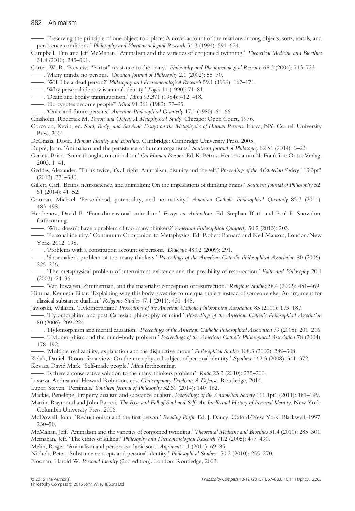——. 'Preserving the principle of one object to a place: A novel account of the relations among objects, sorts, sortals, and persistence conditions.' Philosophy and Phenomenological Research 54.3 (1994): 591–624.

Campbell, Tim and Jeff McMahan. 'Animalism and the varieties of conjoined twinning.' Theoretical Medicine and Bioethics 31.4 (2010): 285–301.

Carter, W. R. 'Review: "Partist" resistance to the many.' Philosophy and Phenomenological Research 68.3 (2004): 713–723.

——. 'Many minds, no persons.' Croatian Journal of Philosophy 2.1 (2002): 55–70.

——. 'Will I be a dead person?' Philosophy and Phenomenological Research 59.1 (1999): 167–171.

- ——. 'Why personal identity is animal identity.' Logos 11 (1990): 71–81.
- ——. 'Death and bodily transfiguration.' Mind 93.371 (1984): 412–418.
- ——. 'Do zygotes become people?' Mind 91.361 (1982): 77–95.

——. 'Once and future persons.' American Philosophical Quarterly 17.1 (1980): 61–66.

Chisholm, Roderick M. Person and Object: A Metaphysical Study. Chicago: Open Court, 1976.

Corcoran, Kevin, ed. Soul, Body, and Survival: Essays on the Metaphysics of Human Persons. Ithaca, NY: Cornell University Press, 2001.

DeGrazia, David. Human Identity and Bioethics. Cambridge: Cambridge University Press, 2005.

Dupré, John. 'Animalism and the persistence of human organisms.' Southern Journal of Philosophy 52.S1 (2014): 6–23.

Garrett, Brian. 'Some thoughts on animalism.' On Human Persons. Ed. K. Petrus. Heusenstamm Nr Frankfurt: Ontos Verlag, 2003. 1–41.

Geddes, Alexander. 'Think twice, it's all right: Animalism, disunity and the self.' Proceedings of the Aristotelian Society 113.3pt3 (2013): 371–380.

Gillett, Carl. 'Brains, neuroscience, and animalism: On the implications of thinking brains.' Southern Journal of Philosophy 52. S1 (2014): 41–52.

- Gorman, Michael. 'Personhood, potentiality, and normativity.' American Catholic Philosophical Quarterly 85.3 (2011): 483–498.
- Hershenov, David B. 'Four-dimensional animalism.' Essays on Animalism. Ed. Stephan Blatti and Paul F. Snowdon, forthcoming.

——. 'Who doesn't have a problem of too many thinkers?' American Philosophical Quarterly 50.2 (2013): 203.

——. 'Personal identity.' Continuum Companion to Metaphysics. Ed. Robert Barnard and Neil Manson, London/New York, 2012. 198.

——. 'Problems with a constitution account of persons.' Dialogue 48.02 (2009): 291.

——. 'Shoemaker's problem of too many thinkers.' Proceedings of the American Catholic Philosophical Association 80 (2006): 225–236.

——. 'The metaphysical problem of intermittent existence and the possibility of resurrection.' Faith and Philosophy 20.1  $(2003): 24 - 36.$ 

——. 'Van Inwagen, Zimmerman, and the materialist conception of resurrection.' Religious Studies 38.4 (2002): 451–469.

Himma, Kenneth Einar. 'Explaining why this body gives rise to me qua subject instead of someone else: An argument for classical substance dualism.' Religious Studies 47.4 (2011): 431–448.

Jaworski, William. 'Hylomorphism.' Proceedings of the American Catholic Philosophical Association 85 (2011): 173–187.

——. 'Hylomorphism and post-Cartesian philosophy of mind.' Proceedings of the American Catholic Philosophical Association 80 (2006): 209–224.

——. 'Hylomorphism and mental causation.' Proceedings of the American Catholic Philosophical Association 79 (2005): 201–216.

——. 'Hylomorphism and the mind–body problem.' Proceedings of the American Catholic Philosophical Association 78 (2004): 178–192.

——. 'Multiple-realizability, explanation and the disjunctive move.' Philosophical Studies 108.3 (2002): 289–308.

Kolak, Daniel. 'Room for a view: On the metaphysical subject of personal identity.' Synthese 162.3 (2008): 341–372. Kovacs, David Mark. 'Self-made people.' Mind forthcoming.

-. 'Is there a conservative solution to the many thinkers problem?' Ratio 23.3 (2010): 275-290.

Lavazza, Andrea and Howard Robinson, eds. Contemporary Dualism: A Defense. Routledge, 2014.

Luper, Steven. 'Persimals.' Southern Journal of Philosophy 52.S1 (2014): 140–162.

Mackie, Penelope. Property dualism and substance dualism. Proceedings of the Aristotelian Society 111.1pt1 (2011): 181-199.

Martin, Raymond and John Barresi. The Rise and Fall of Soul and Self: An Intellectual History of Personal Identity. New York: Columbia University Press, 2006.

McDowell, John. 'Reductionism and the first person.' Reading Parfit. Ed. J. Dancy. Oxford/New York: Blackwell, 1997. 230–50.

McMahan, Jeff. 'Animalism and the varieties of conjoined twinning.' Theoretical Medicine and Bioethics 31.4 (2010): 285–301. Mcmahan, Jeff. 'The ethics of killing.' Philosophy and Phenomenological Research 71.2 (2005): 477–490.

Melin, Roger. 'Animalism and person as a basic sort.' Argument 1.1 (2011): 69–85.

Nichols, Peter. 'Substance concepts and personal identity.' Philosophical Studies 150.2 (2010): 255–270.

Noonan, Harold W. Personal Identity (2nd edition). London: Routledge, 2003.